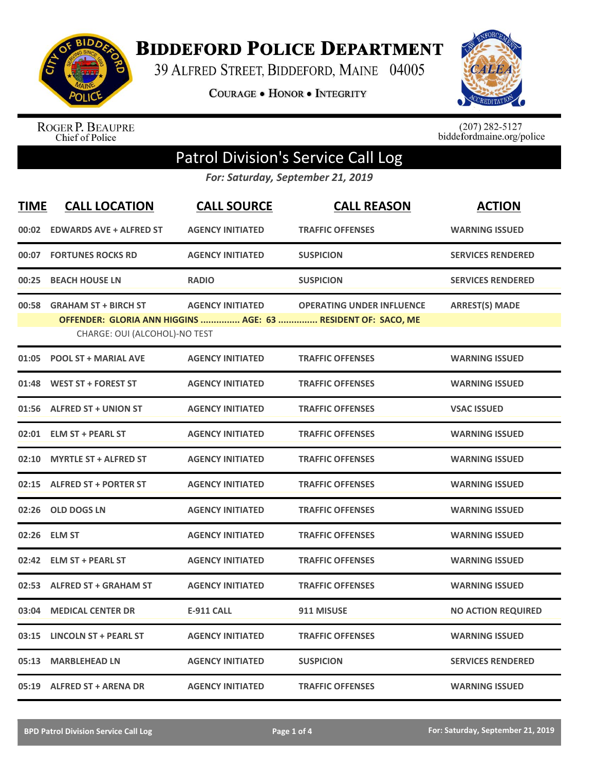

**BIDDEFORD POLICE DEPARTMENT** 

39 ALFRED STREET, BIDDEFORD, MAINE 04005

**COURAGE . HONOR . INTEGRITY** 



ROGER P. BEAUPRE<br>Chief of Police

 $(207)$  282-5127<br>biddefordmaine.org/police

## Patrol Division's Service Call Log

*For: Saturday, September 21, 2019*

| <b>TIME</b> | <b>CALL LOCATION</b>                                         | <b>CALL SOURCE</b>      | <b>CALL REASON</b>                                                                               | <b>ACTION</b>             |
|-------------|--------------------------------------------------------------|-------------------------|--------------------------------------------------------------------------------------------------|---------------------------|
| 00:02       | <b>EDWARDS AVE + ALFRED ST</b>                               | <b>AGENCY INITIATED</b> | <b>TRAFFIC OFFENSES</b>                                                                          | <b>WARNING ISSUED</b>     |
| 00:07       | <b>FORTUNES ROCKS RD</b>                                     | <b>AGENCY INITIATED</b> | <b>SUSPICION</b>                                                                                 | <b>SERVICES RENDERED</b>  |
| 00:25       | <b>BEACH HOUSE LN</b>                                        | <b>RADIO</b>            | <b>SUSPICION</b>                                                                                 | <b>SERVICES RENDERED</b>  |
| 00:58       | <b>GRAHAM ST + BIRCH ST</b><br>CHARGE: OUI (ALCOHOL)-NO TEST | <b>AGENCY INITIATED</b> | <b>OPERATING UNDER INFLUENCE</b><br>OFFENDER: GLORIA ANN HIGGINS  AGE: 63  RESIDENT OF: SACO, ME | <b>ARREST(S) MADE</b>     |
| 01:05       | <b>POOL ST + MARIAL AVE</b>                                  | <b>AGENCY INITIATED</b> | <b>TRAFFIC OFFENSES</b>                                                                          | <b>WARNING ISSUED</b>     |
| 01:48       | <b>WEST ST + FOREST ST</b>                                   | <b>AGENCY INITIATED</b> | <b>TRAFFIC OFFENSES</b>                                                                          | <b>WARNING ISSUED</b>     |
| 01:56       | <b>ALFRED ST + UNION ST</b>                                  | <b>AGENCY INITIATED</b> | <b>TRAFFIC OFFENSES</b>                                                                          | <b>VSAC ISSUED</b>        |
| 02:01       | <b>ELM ST + PEARL ST</b>                                     | <b>AGENCY INITIATED</b> | <b>TRAFFIC OFFENSES</b>                                                                          | <b>WARNING ISSUED</b>     |
| 02:10       | <b>MYRTLE ST + ALFRED ST</b>                                 | <b>AGENCY INITIATED</b> | <b>TRAFFIC OFFENSES</b>                                                                          | <b>WARNING ISSUED</b>     |
| 02:15       | <b>ALFRED ST + PORTER ST</b>                                 | <b>AGENCY INITIATED</b> | <b>TRAFFIC OFFENSES</b>                                                                          | <b>WARNING ISSUED</b>     |
| 02:26       | <b>OLD DOGS LN</b>                                           | <b>AGENCY INITIATED</b> | <b>TRAFFIC OFFENSES</b>                                                                          | <b>WARNING ISSUED</b>     |
| 02:26       | <b>ELM ST</b>                                                | <b>AGENCY INITIATED</b> | <b>TRAFFIC OFFENSES</b>                                                                          | <b>WARNING ISSUED</b>     |
| 02:42       | <b>ELM ST + PEARL ST</b>                                     | <b>AGENCY INITIATED</b> | <b>TRAFFIC OFFENSES</b>                                                                          | <b>WARNING ISSUED</b>     |
| 02:53       | <b>ALFRED ST + GRAHAM ST</b>                                 | <b>AGENCY INITIATED</b> | <b>TRAFFIC OFFENSES</b>                                                                          | <b>WARNING ISSUED</b>     |
| 03:04       | <b>MEDICAL CENTER DR</b>                                     | <b>E-911 CALL</b>       | 911 MISUSE                                                                                       | <b>NO ACTION REQUIRED</b> |
| 03:15       | <b>LINCOLN ST + PEARL ST</b>                                 | <b>AGENCY INITIATED</b> | <b>TRAFFIC OFFENSES</b>                                                                          | <b>WARNING ISSUED</b>     |
| 05:13       | <b>MARBLEHEAD LN</b>                                         | <b>AGENCY INITIATED</b> | <b>SUSPICION</b>                                                                                 | <b>SERVICES RENDERED</b>  |
|             | 05:19 ALFRED ST + ARENA DR                                   | <b>AGENCY INITIATED</b> | <b>TRAFFIC OFFENSES</b>                                                                          | <b>WARNING ISSUED</b>     |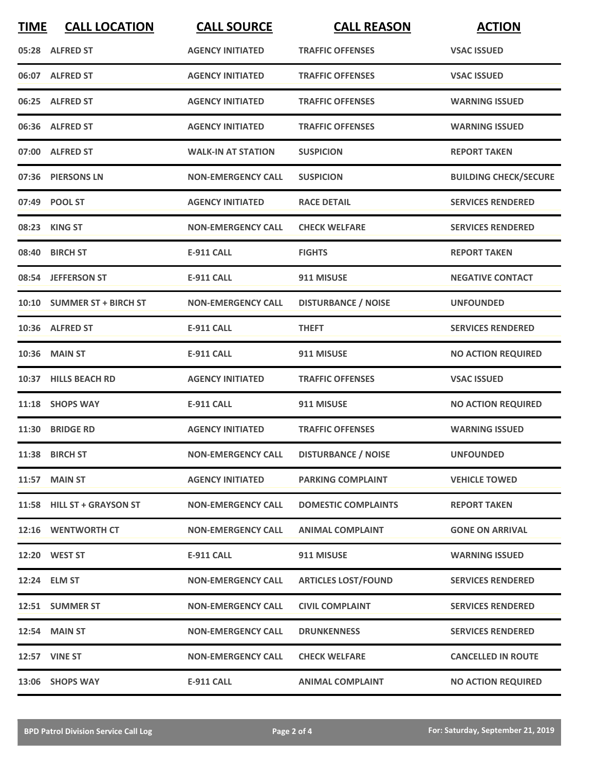| <b>TIME</b> | <b>CALL LOCATION</b>       | <b>CALL SOURCE</b>        | <b>CALL REASON</b>         | <b>ACTION</b>                |
|-------------|----------------------------|---------------------------|----------------------------|------------------------------|
|             | 05:28 ALFRED ST            | <b>AGENCY INITIATED</b>   | <b>TRAFFIC OFFENSES</b>    | <b>VSAC ISSUED</b>           |
|             | 06:07 ALFRED ST            | <b>AGENCY INITIATED</b>   | <b>TRAFFIC OFFENSES</b>    | <b>VSAC ISSUED</b>           |
|             | 06:25 ALFRED ST            | <b>AGENCY INITIATED</b>   | <b>TRAFFIC OFFENSES</b>    | <b>WARNING ISSUED</b>        |
|             | 06:36 ALFRED ST            | <b>AGENCY INITIATED</b>   | <b>TRAFFIC OFFENSES</b>    | <b>WARNING ISSUED</b>        |
|             | 07:00 ALFRED ST            | <b>WALK-IN AT STATION</b> | <b>SUSPICION</b>           | <b>REPORT TAKEN</b>          |
|             | 07:36 PIERSONS LN          | <b>NON-EMERGENCY CALL</b> | <b>SUSPICION</b>           | <b>BUILDING CHECK/SECURE</b> |
|             | 07:49 POOL ST              | <b>AGENCY INITIATED</b>   | <b>RACE DETAIL</b>         | <b>SERVICES RENDERED</b>     |
|             | 08:23 KING ST              | <b>NON-EMERGENCY CALL</b> | <b>CHECK WELFARE</b>       | <b>SERVICES RENDERED</b>     |
|             | 08:40 BIRCH ST             | <b>E-911 CALL</b>         | <b>FIGHTS</b>              | <b>REPORT TAKEN</b>          |
|             | 08:54 JEFFERSON ST         | <b>E-911 CALL</b>         | 911 MISUSE                 | <b>NEGATIVE CONTACT</b>      |
|             | 10:10 SUMMER ST + BIRCH ST | <b>NON-EMERGENCY CALL</b> | <b>DISTURBANCE / NOISE</b> | <b>UNFOUNDED</b>             |
|             | 10:36 ALFRED ST            | <b>E-911 CALL</b>         | <b>THEFT</b>               | <b>SERVICES RENDERED</b>     |
|             | 10:36 MAIN ST              | <b>E-911 CALL</b>         | 911 MISUSE                 | <b>NO ACTION REQUIRED</b>    |
|             | 10:37 HILLS BEACH RD       | <b>AGENCY INITIATED</b>   | <b>TRAFFIC OFFENSES</b>    | <b>VSAC ISSUED</b>           |
|             | 11:18 SHOPS WAY            | <b>E-911 CALL</b>         | 911 MISUSE                 | <b>NO ACTION REQUIRED</b>    |
|             | 11:30 BRIDGE RD            | <b>AGENCY INITIATED</b>   | <b>TRAFFIC OFFENSES</b>    | <b>WARNING ISSUED</b>        |
|             | 11:38 BIRCH ST             | <b>NON-EMERGENCY CALL</b> | <b>DISTURBANCE / NOISE</b> | <b>UNFOUNDED</b>             |
|             | <b>11:57 MAIN ST</b>       | <b>AGENCY INITIATED</b>   | <b>PARKING COMPLAINT</b>   | <b>VEHICLE TOWED</b>         |
|             | 11:58 HILL ST + GRAYSON ST | <b>NON-EMERGENCY CALL</b> | <b>DOMESTIC COMPLAINTS</b> | <b>REPORT TAKEN</b>          |
|             | 12:16 WENTWORTH CT         | <b>NON-EMERGENCY CALL</b> | <b>ANIMAL COMPLAINT</b>    | <b>GONE ON ARRIVAL</b>       |
|             | 12:20 WEST ST              | E-911 CALL                | 911 MISUSE                 | <b>WARNING ISSUED</b>        |
|             | 12:24 ELM ST               | <b>NON-EMERGENCY CALL</b> | <b>ARTICLES LOST/FOUND</b> | <b>SERVICES RENDERED</b>     |
|             | 12:51 SUMMER ST            | <b>NON-EMERGENCY CALL</b> | <b>CIVIL COMPLAINT</b>     | <b>SERVICES RENDERED</b>     |
|             | <b>12:54 MAIN ST</b>       | <b>NON-EMERGENCY CALL</b> | <b>DRUNKENNESS</b>         | <b>SERVICES RENDERED</b>     |
|             | <b>12:57 VINE ST</b>       | <b>NON-EMERGENCY CALL</b> | <b>CHECK WELFARE</b>       | <b>CANCELLED IN ROUTE</b>    |
|             | 13:06 SHOPS WAY            | <b>E-911 CALL</b>         | <b>ANIMAL COMPLAINT</b>    | <b>NO ACTION REQUIRED</b>    |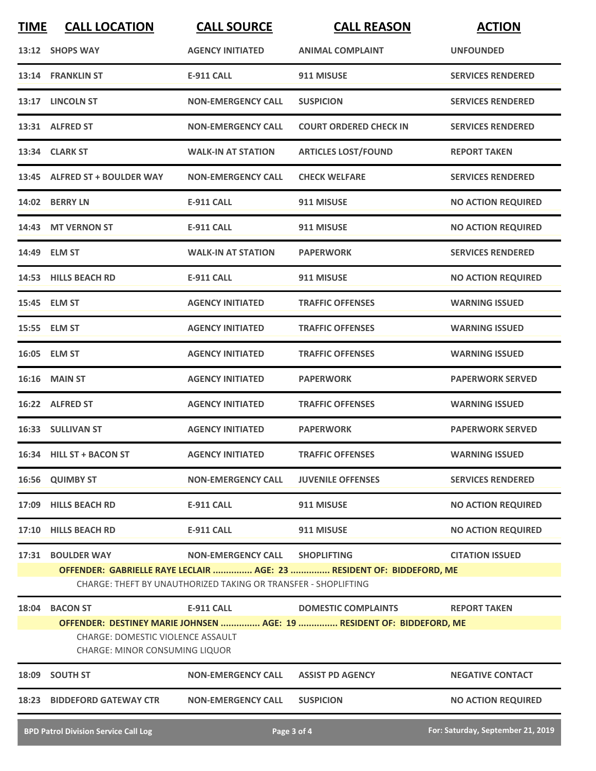| <b>TIME</b>                                                                | <b>CALL LOCATION</b>                                                                                                                    | <b>CALL SOURCE</b>             | <b>CALL REASON</b>                                                    | <b>ACTION</b>                     |  |
|----------------------------------------------------------------------------|-----------------------------------------------------------------------------------------------------------------------------------------|--------------------------------|-----------------------------------------------------------------------|-----------------------------------|--|
|                                                                            | 13:12 SHOPS WAY                                                                                                                         | <b>AGENCY INITIATED</b>        | <b>ANIMAL COMPLAINT</b>                                               | <b>UNFOUNDED</b>                  |  |
|                                                                            | 13:14 FRANKLIN ST                                                                                                                       | <b>E-911 CALL</b>              | 911 MISUSE                                                            | <b>SERVICES RENDERED</b>          |  |
|                                                                            | 13:17 LINCOLN ST                                                                                                                        | <b>NON-EMERGENCY CALL</b>      | <b>SUSPICION</b>                                                      | <b>SERVICES RENDERED</b>          |  |
|                                                                            | 13:31 ALFRED ST                                                                                                                         | <b>NON-EMERGENCY CALL</b>      | <b>COURT ORDERED CHECK IN</b>                                         | <b>SERVICES RENDERED</b>          |  |
|                                                                            | 13:34 CLARK ST                                                                                                                          | <b>WALK-IN AT STATION</b>      | <b>ARTICLES LOST/FOUND</b>                                            | <b>REPORT TAKEN</b>               |  |
|                                                                            | 13:45 ALFRED ST + BOULDER WAY                                                                                                           | <b>NON-EMERGENCY CALL</b>      | <b>CHECK WELFARE</b>                                                  | <b>SERVICES RENDERED</b>          |  |
|                                                                            | 14:02 BERRY LN                                                                                                                          | <b>E-911 CALL</b>              | 911 MISUSE                                                            | <b>NO ACTION REQUIRED</b>         |  |
|                                                                            | 14:43 MT VERNON ST                                                                                                                      | <b>E-911 CALL</b>              | 911 MISUSE                                                            | <b>NO ACTION REQUIRED</b>         |  |
|                                                                            | 14:49 ELM ST                                                                                                                            | <b>WALK-IN AT STATION</b>      | <b>PAPERWORK</b>                                                      | <b>SERVICES RENDERED</b>          |  |
|                                                                            | 14:53 HILLS BEACH RD                                                                                                                    | <b>E-911 CALL</b>              | 911 MISUSE                                                            | <b>NO ACTION REQUIRED</b>         |  |
|                                                                            | 15:45 ELM ST                                                                                                                            | <b>AGENCY INITIATED</b>        | <b>TRAFFIC OFFENSES</b>                                               | <b>WARNING ISSUED</b>             |  |
|                                                                            | 15:55 ELM ST                                                                                                                            | <b>AGENCY INITIATED</b>        | <b>TRAFFIC OFFENSES</b>                                               | <b>WARNING ISSUED</b>             |  |
|                                                                            | 16:05 ELM ST                                                                                                                            | <b>AGENCY INITIATED</b>        | <b>TRAFFIC OFFENSES</b>                                               | <b>WARNING ISSUED</b>             |  |
| 16:16                                                                      | <b>MAIN ST</b>                                                                                                                          | <b>AGENCY INITIATED</b>        | <b>PAPERWORK</b>                                                      | <b>PAPERWORK SERVED</b>           |  |
|                                                                            | 16:22 ALFRED ST                                                                                                                         | <b>AGENCY INITIATED</b>        | <b>TRAFFIC OFFENSES</b>                                               | <b>WARNING ISSUED</b>             |  |
|                                                                            | 16:33 SULLIVAN ST                                                                                                                       | <b>AGENCY INITIATED</b>        | <b>PAPERWORK</b>                                                      | <b>PAPERWORK SERVED</b>           |  |
|                                                                            | 16:34 HILL ST + BACON ST                                                                                                                | <b>AGENCY INITIATED</b>        | <b>TRAFFIC OFFENSES</b>                                               | <b>WARNING ISSUED</b>             |  |
|                                                                            | 16:56 QUIMBY ST                                                                                                                         | <b>NON-EMERGENCY CALL</b>      | <b>JUVENILE OFFENSES</b>                                              | <b>SERVICES RENDERED</b>          |  |
|                                                                            | 17:09 HILLS BEACH RD                                                                                                                    | <b>E-911 CALL</b>              | 911 MISUSE                                                            | <b>NO ACTION REQUIRED</b>         |  |
|                                                                            | 17:10 HILLS BEACH RD                                                                                                                    | <b>E-911 CALL</b>              | 911 MISUSE                                                            | <b>NO ACTION REQUIRED</b>         |  |
|                                                                            | 17:31 BOULDER WAY                                                                                                                       | NON-EMERGENCY CALL SHOPLIFTING |                                                                       | <b>CITATION ISSUED</b>            |  |
|                                                                            | OFFENDER: GABRIELLE RAYE LECLAIR  AGE: 23  RESIDENT OF: BIDDEFORD, ME<br>CHARGE: THEFT BY UNAUTHORIZED TAKING OR TRANSFER - SHOPLIFTING |                                |                                                                       |                                   |  |
|                                                                            | 18:04 BACON ST                                                                                                                          | <b>E-911 CALL</b>              | <b>DOMESTIC COMPLAINTS</b>                                            | <b>REPORT TAKEN</b>               |  |
|                                                                            |                                                                                                                                         |                                | OFFENDER: DESTINEY MARIE JOHNSEN  AGE: 19  RESIDENT OF: BIDDEFORD, ME |                                   |  |
| CHARGE: DOMESTIC VIOLENCE ASSAULT<br><b>CHARGE: MINOR CONSUMING LIQUOR</b> |                                                                                                                                         |                                |                                                                       |                                   |  |
|                                                                            | 18:09 SOUTH ST                                                                                                                          | <b>NON-EMERGENCY CALL</b>      | <b>ASSIST PD AGENCY</b>                                               | <b>NEGATIVE CONTACT</b>           |  |
|                                                                            | 18:23 BIDDEFORD GATEWAY CTR                                                                                                             | <b>NON-EMERGENCY CALL</b>      | <b>SUSPICION</b>                                                      | <b>NO ACTION REQUIRED</b>         |  |
|                                                                            | <b>BPD Patrol Division Service Call Log</b>                                                                                             |                                | Page 3 of 4                                                           | For: Saturday, September 21, 2019 |  |